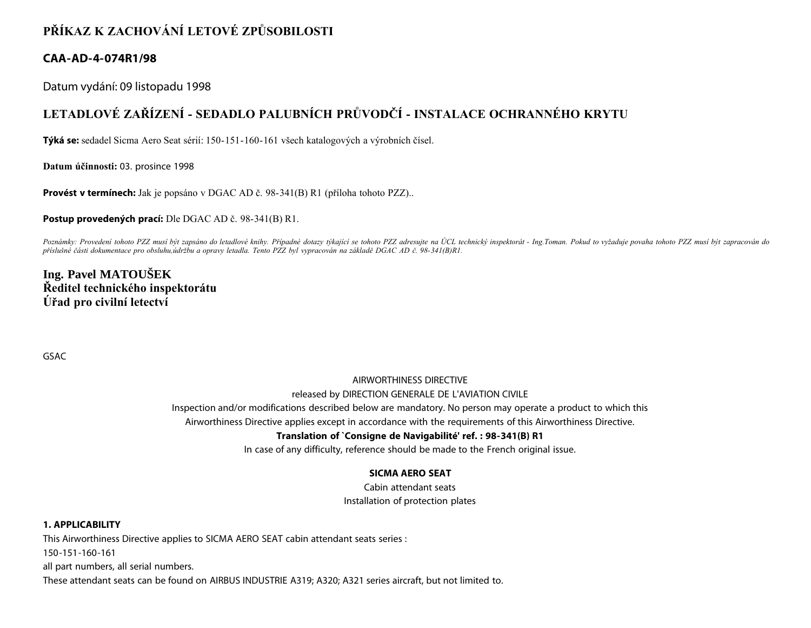# **PŘÍKAZ K ZACHOVÁNÍ LETOVÉ ZPŮSOBILOSTI**

# **CAA-AD-4-074R1/98**

Datum vydání: 09 listopadu 1998

# **LETADLOVÉ ZAŘÍZENÍ - SEDADLO PALUBNÍCH PRŮVODČÍ - INSTALACE OCHRANNÉHO KRYTU**

**Týká se:** sedadel Sicma Aero Seat sérií: 150-151-160-161 všech katalogových a výrobních čísel.

**Datum účinnosti:** 03. prosince 1998

**Provést v termínech:** Jak je popsáno v DGAC AD č. 98-341(B) R1 (příloha tohoto PZZ)..

**Postup provedených prací:** Dle DGAC AD č. 98-341(B) R1.

*Poznámky: Provedení tohoto PZZ musí být zapsáno do letadlové knihy. Případné dotazy týkající se tohoto PZZ adresujte na ÚCL technický inspektorát - Ing.Toman. Pokud to vyžaduje povaha tohoto PZZ musí být zapracován do příslušné části dokumentace pro obsluhu,údržbu a opravy letadla. Tento PZZ byl vypracován na základě DGAC AD č. 98-341(B)R1.*

# **Ing. Pavel MATOUŠEK Ředitel technického inspektorátu Úřad pro civilní letectví**

GSAC

# AIRWORTHINESS DIRECTIVE released by DIRECTION GENERALE DE L'AVIATION CIVILE

Inspection and/or modifications described below are mandatory. No person may operate a product to which this

Airworthiness Directive applies except in accordance with the requirements of this Airworthiness Directive.

### **Translation of `Consigne de Navigabilité' ref. : 98-341(B) R1**

In case of any difficulty, reference should be made to the French original issue.

# **SICMA AERO SEAT**

Cabin attendant seats Installation of protection plates

### **1. APPLICABILITY**

This Airworthiness Directive applies to SICMA AERO SEAT cabin attendant seats series : 150-151-160-161 all part numbers, all serial numbers. These attendant seats can be found on AIRBUS INDUSTRIE A319; A320; A321 series aircraft, but not limited to.